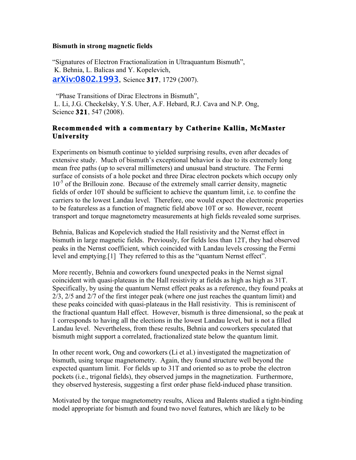## **Bismuth in strong magnetic fields**

"Signatures of Electron Fractionalization in Ultraquantum Bismuth", K. Behnia, L. Balicas and Y. Kopelevich, **arXiv:0802.1993**, Science **317**, 1729 (2007).

"Phase Transitions of Dirac Electrons in Bismuth", L. Li, J.G. Checkelsky, Y.S. Uher, A.F. Hebard, R.J. Cava and N.P. Ong, Science **321**, 547 (2008).

## **Recommended with a commentary by Catherine Kallin, McMaster University**

Experiments on bismuth continue to yielded surprising results, even after decades of extensive study. Much of bismuth's exceptional behavior is due to its extremely long mean free paths (up to several millimeters) and unusual band structure. The Fermi surface of consists of a hole pocket and three Dirac electron pockets which occupy only 10<sup>-5</sup> of the Brillouin zone. Because of the extremely small carrier density, magnetic fields of order 10T should be sufficient to achieve the quantum limit, i.e. to confine the carriers to the lowest Landau level. Therefore, one would expect the electronic properties to be featureless as a function of magnetic field above 10T or so. However, recent transport and torque magnetometry measurements at high fields revealed some surprises.

Behnia, Balicas and Kopelevich studied the Hall resistivity and the Nernst effect in bismuth in large magnetic fields. Previously, for fields less than 12T, they had observed peaks in the Nernst coefficient, which coincided with Landau levels crossing the Fermi level and emptying.[1] They referred to this as the "quantum Nernst effect".

More recently, Behnia and coworkers found unexpected peaks in the Nernst signal coincident with quasi-plateaus in the Hall resistivity at fields as high as high as 31T. Specifically, by using the quantum Nernst effect peaks as a reference, they found peaks at 2/3, 2/5 and 2/7 of the first integer peak (where one just reaches the quantum limit) and these peaks coincided with quasi-plateaus in the Hall resistivity. This is reminiscent of the fractional quantum Hall effect. However, bismuth is three dimensional, so the peak at 1 corresponds to having all the elections in the lowest Landau level, but is not a filled Landau level. Nevertheless, from these results, Behnia and coworkers speculated that bismuth might support a correlated, fractionalized state below the quantum limit.

In other recent work, Ong and coworkers (Li et al.) investigated the magnetization of bismuth, using torque magnetometry. Again, they found structure well beyond the expected quantum limit. For fields up to 31T and oriented so as to probe the electron pockets (i.e., trigonal fields), they observed jumps in the magnetization. Furthermore, they observed hysteresis, suggesting a first order phase field-induced phase transition.

Motivated by the torque magnetometry results, Alicea and Balents studied a tight-binding model appropriate for bismuth and found two novel features, which are likely to be